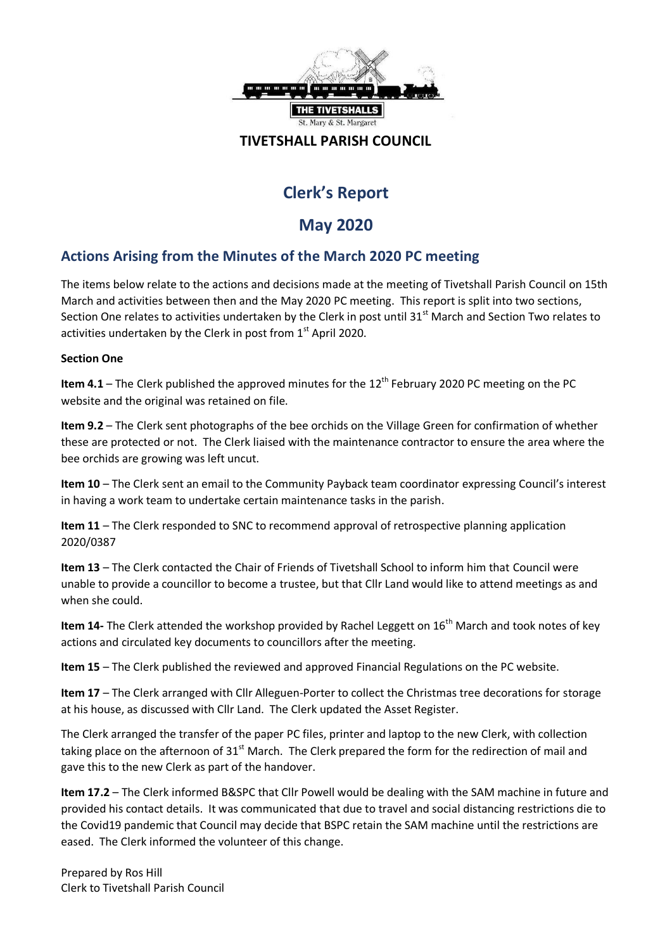

## **TIVETSHALL PARISH COUNCIL**

# **Clerk's Report**

## **May 2020**

## **Actions Arising from the Minutes of the March 2020 PC meeting**

The items below relate to the actions and decisions made at the meeting of Tivetshall Parish Council on 15th March and activities between then and the May 2020 PC meeting. This report is split into two sections, Section One relates to activities undertaken by the Clerk in post until 31<sup>st</sup> March and Section Two relates to activities undertaken by the Clerk in post from  $1<sup>st</sup>$  April 2020.

#### **Section One**

**Item 4.1** – The Clerk published the approved minutes for the 12<sup>th</sup> February 2020 PC meeting on the PC website and the original was retained on file.

**Item 9.2** – The Clerk sent photographs of the bee orchids on the Village Green for confirmation of whether these are protected or not. The Clerk liaised with the maintenance contractor to ensure the area where the bee orchids are growing was left uncut.

**Item 10** – The Clerk sent an email to the Community Payback team coordinator expressing Council's interest in having a work team to undertake certain maintenance tasks in the parish.

**Item 11** – The Clerk responded to SNC to recommend approval of retrospective planning application 2020/0387

**Item 13** – The Clerk contacted the Chair of Friends of Tivetshall School to inform him that Council were unable to provide a councillor to become a trustee, but that Cllr Land would like to attend meetings as and when she could.

**Item 14-** The Clerk attended the workshop provided by Rachel Leggett on 16<sup>th</sup> March and took notes of key actions and circulated key documents to councillors after the meeting.

**Item 15** – The Clerk published the reviewed and approved Financial Regulations on the PC website.

**Item 17** – The Clerk arranged with Cllr Alleguen-Porter to collect the Christmas tree decorations for storage at his house, as discussed with Cllr Land. The Clerk updated the Asset Register.

The Clerk arranged the transfer of the paper PC files, printer and laptop to the new Clerk, with collection taking place on the afternoon of 31<sup>st</sup> March. The Clerk prepared the form for the redirection of mail and gave this to the new Clerk as part of the handover.

**Item 17.2** – The Clerk informed B&SPC that Cllr Powell would be dealing with the SAM machine in future and provided his contact details. It was communicated that due to travel and social distancing restrictions die to the Covid19 pandemic that Council may decide that BSPC retain the SAM machine until the restrictions are eased. The Clerk informed the volunteer of this change.

Prepared by Ros Hill Clerk to Tivetshall Parish Council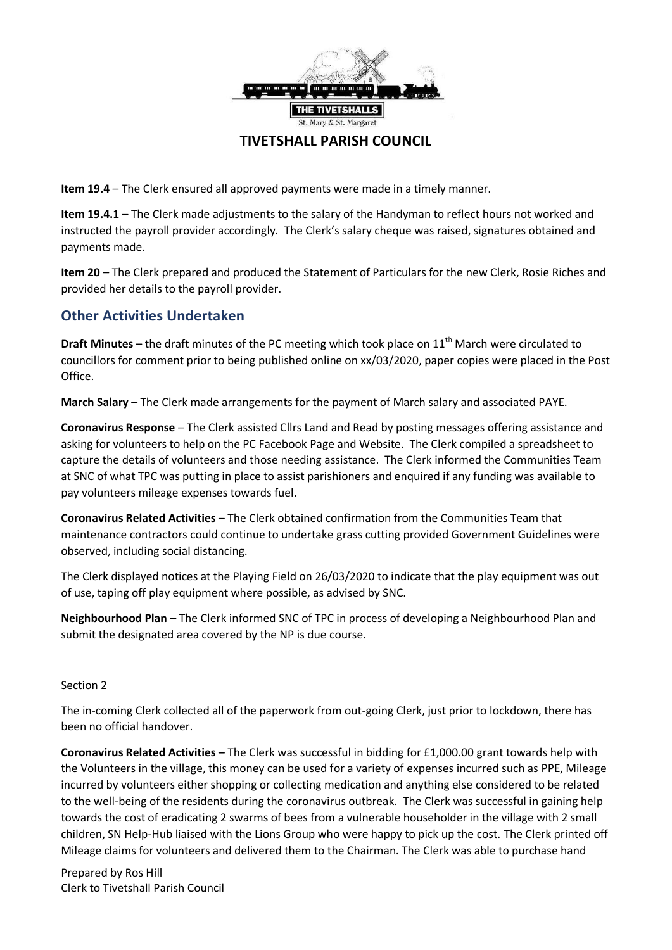

## **TIVETSHALL PARISH COUNCIL**

**Item 19.4** – The Clerk ensured all approved payments were made in a timely manner.

**Item 19.4.1** – The Clerk made adjustments to the salary of the Handyman to reflect hours not worked and instructed the payroll provider accordingly. The Clerk's salary cheque was raised, signatures obtained and payments made.

**Item 20** – The Clerk prepared and produced the Statement of Particulars for the new Clerk, Rosie Riches and provided her details to the payroll provider.

## **Other Activities Undertaken**

**Draft Minutes –** the draft minutes of the PC meeting which took place on 11<sup>th</sup> March were circulated to councillors for comment prior to being published online on xx/03/2020, paper copies were placed in the Post Office.

**March Salary** – The Clerk made arrangements for the payment of March salary and associated PAYE.

**Coronavirus Response** – The Clerk assisted Cllrs Land and Read by posting messages offering assistance and asking for volunteers to help on the PC Facebook Page and Website. The Clerk compiled a spreadsheet to capture the details of volunteers and those needing assistance. The Clerk informed the Communities Team at SNC of what TPC was putting in place to assist parishioners and enquired if any funding was available to pay volunteers mileage expenses towards fuel.

**Coronavirus Related Activities** – The Clerk obtained confirmation from the Communities Team that maintenance contractors could continue to undertake grass cutting provided Government Guidelines were observed, including social distancing.

The Clerk displayed notices at the Playing Field on 26/03/2020 to indicate that the play equipment was out of use, taping off play equipment where possible, as advised by SNC.

**Neighbourhood Plan** – The Clerk informed SNC of TPC in process of developing a Neighbourhood Plan and submit the designated area covered by the NP is due course.

#### Section 2

The in-coming Clerk collected all of the paperwork from out-going Clerk, just prior to lockdown, there has been no official handover.

**Coronavirus Related Activities –** The Clerk was successful in bidding for £1,000.00 grant towards help with the Volunteers in the village, this money can be used for a variety of expenses incurred such as PPE, Mileage incurred by volunteers either shopping or collecting medication and anything else considered to be related to the well-being of the residents during the coronavirus outbreak. The Clerk was successful in gaining help towards the cost of eradicating 2 swarms of bees from a vulnerable householder in the village with 2 small children, SN Help-Hub liaised with the Lions Group who were happy to pick up the cost. The Clerk printed off Mileage claims for volunteers and delivered them to the Chairman. The Clerk was able to purchase hand

Prepared by Ros Hill Clerk to Tivetshall Parish Council